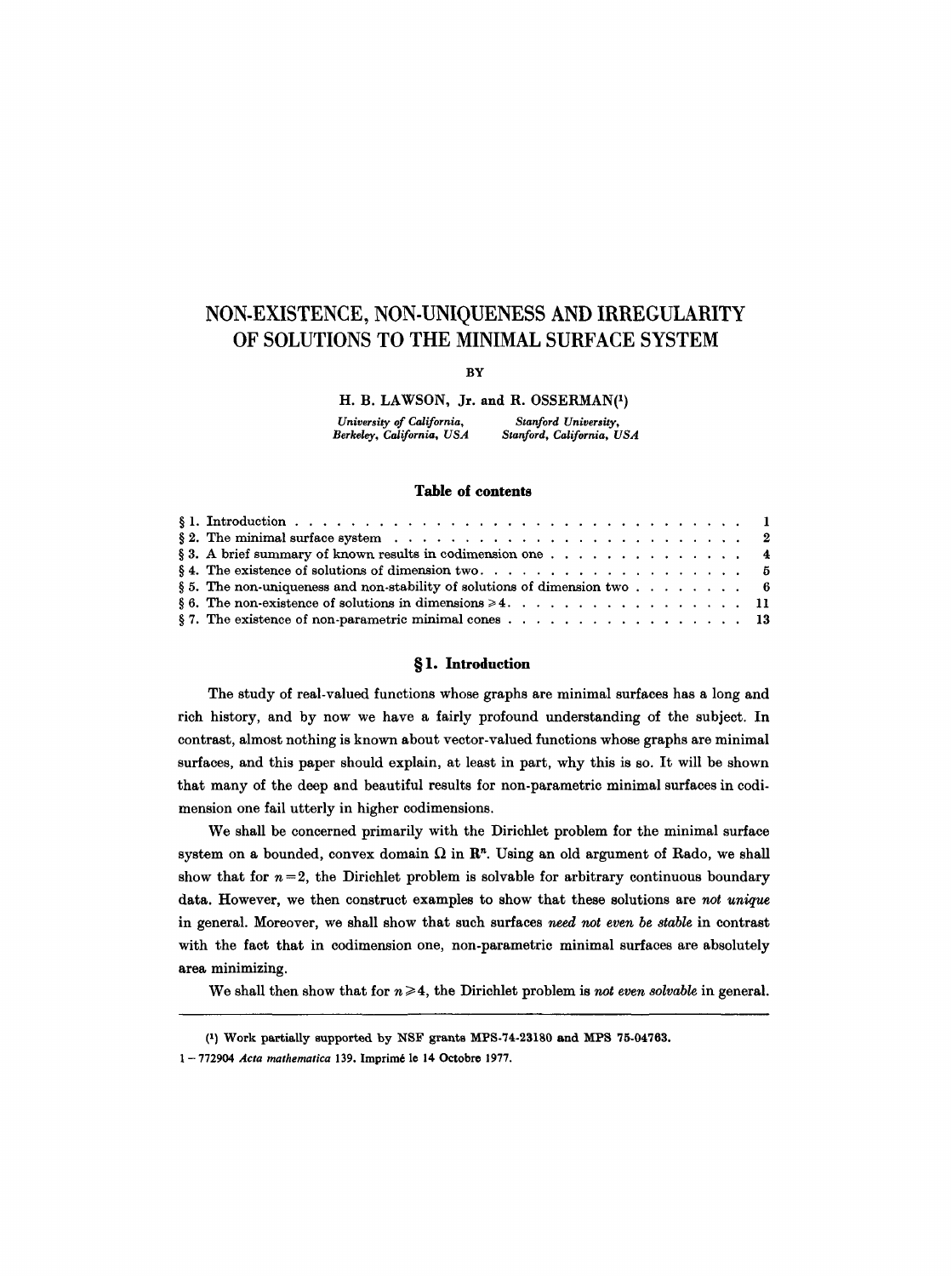# **NON-EXISTENCE, NON-UNIQUENESS AND IRREGULARITY OF SOLUTIONS TO THE MINIMAL SURFACE SYSTEM**

**BY** 

H. B. LAWSON, Jr. and R. 0SSERMAN(1)

*University of California, Stanford University, Berkeley, California, USA* 

## **Table of contents**

| § 3. A brief summary of known results in codimension one 4                                                           |  |  |  |  |  |
|----------------------------------------------------------------------------------------------------------------------|--|--|--|--|--|
| § 4. The existence of solutions of dimension two $\dots$ , 5                                                         |  |  |  |  |  |
| § 5. The non-uniqueness and non-stability of solutions of dimension two $\dots$ $\dots$ $\dots$ $\dots$              |  |  |  |  |  |
|                                                                                                                      |  |  |  |  |  |
| § 7. The existence of non-parametric minimal cones $\ldots$ $\ldots$ $\ldots$ $\ldots$ $\ldots$ $\ldots$ $\ldots$ 13 |  |  |  |  |  |

# **w 1. Introduction**

The study of real-valued functions whose graphs are minimal surfaces has a long and rich history, and by now we have a fairly profound understanding of the subject. In contrast, almost nothing is known about vector-valued functions whose graphs are minimal surfaces, and this paper should explain, at least in part, why this is so. It will be shown that many of the deep and beautiful results for non-parametric minimal surfaces in codimension one fail utterly in higher codimensions.

We shall be concerned primarily with the Dirichlet problem for the minimal surface system on a bounded, convex domain  $\Omega$  in  $\mathbb{R}^n$ . Using an old argument of Rado, we shall show that for  $n = 2$ , the Dirichlet problem is solvable for arbitrary continuous boundary data. However, we then construct examples to show that these solutions are not *unique*  in general. Moreover, we shall show that such surfaces need *not even be stable* in contrast with the fact that in codimension one, non-parametric minimal surfaces are absolutely area minimizing.

We shall then show that for  $n \geq 4$ , the Dirichlet problem is not even solvable in general.

<sup>(1)</sup> Work partially supported by NSF grants MPS-74.23180 and MPS 75.04763.

<sup>1-772904</sup> *Acta mathematica* 139. Imprimé le 14 Octobre 1977.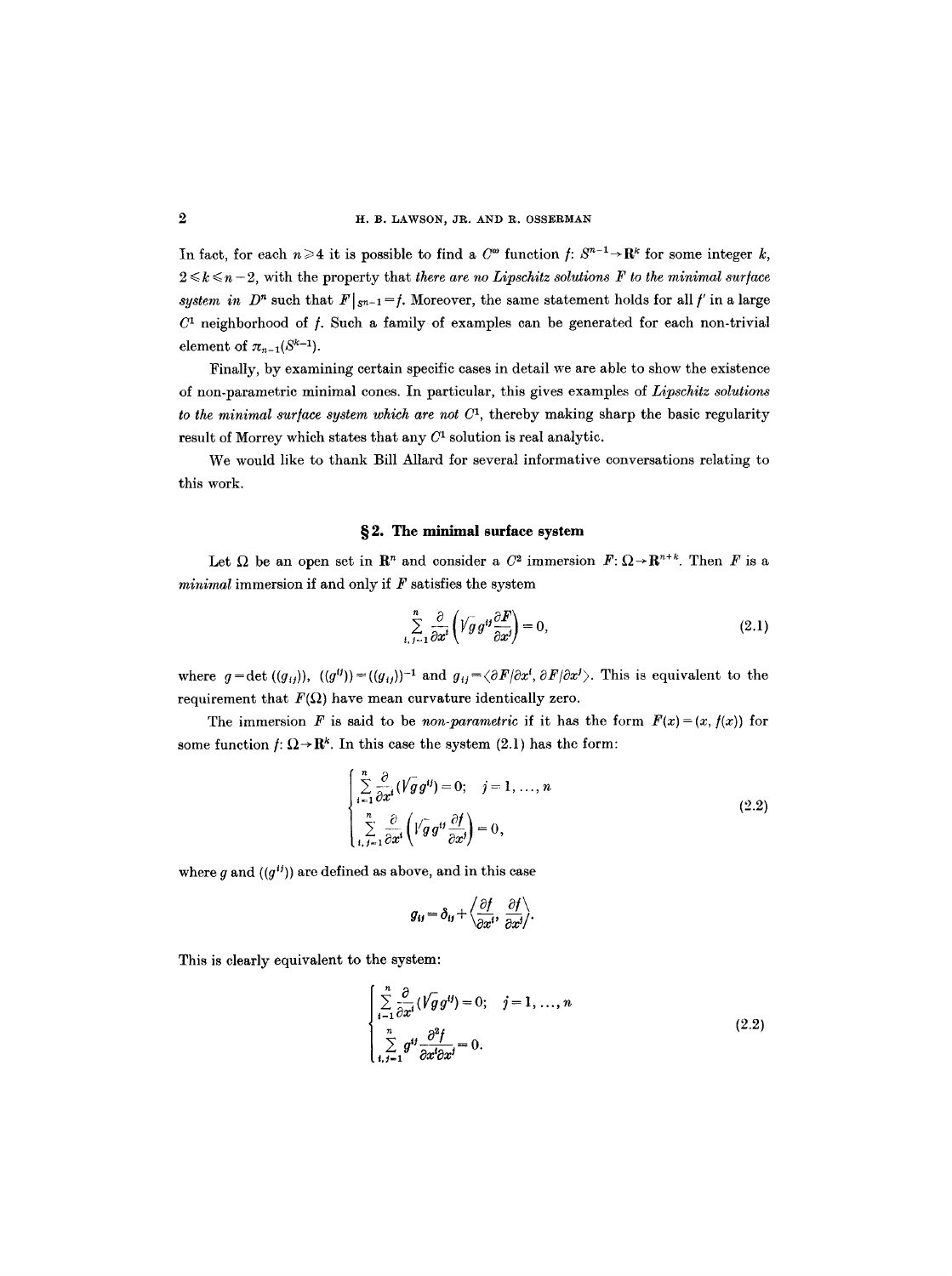In fact, for each  $n \geq 4$  it is possible to find a  $C^{\omega}$  function  $f: S^{n-1} \to \mathbb{R}^k$  for some integer  $k$ ,  $2 \leq k \leq n-2$ , with the property that *there are no Lipschitz solutions F to the minimal surface system in D<sup>n</sup>* such that  $F|_{S^{n-1}} = f$ . Moreover, the same statement holds for all f in a large  $C<sup>1</sup>$  neighborhood of f. Such a family of examples can be generated for each non-trivial element of  $\pi_{n-1}(S^{k-1})$ .

Finally, by examining certain specific cases in detail we are able to show the existence of non-parametric minimal cones. In particular, this gives examples of *Lipschitz solutions to the minimal surface system which are not*  $C<sup>1</sup>$ , thereby making sharp the basic regularity result of Morrey which states that any  $C<sup>1</sup>$  solution is real analytic.

We would like to thank Bill Allard for several informative conversations relating to this work.

## **w 2. The minimal surface system**

Let  $\Omega$  be an open set in  $\mathbb{R}^n$  and consider a  $C^2$  immersion  $F: \Omega \to \mathbb{R}^{n+k}$ . Then F is a *minimal* immersion if and only if F satisfies the system

$$
\sum_{i,j=1}^{n} \frac{\partial}{\partial x^{i}} \left( V g g^{ij} \frac{\partial F}{\partial x^{j}} \right) = 0, \qquad (2.1)
$$

where  $g=\det((g_{ij}))$ ,  $((g^{ij}))=((g_{ij}))^{-1}$  and  $g_{ij}=\langle \partial F/\partial x^i, \partial F/\partial x^j \rangle$ . This is equivalent to the requirement that  $F(\Omega)$  have mean curvature identically zero.

The immersion F is said to be *non-parametric* if it has the form  $F(x) = (x, f(x))$  for some function  $f: \Omega \to \mathbb{R}^k$ . In this case the system (2.1) has the form:

$$
\begin{cases}\n\sum_{i=1}^{n} \frac{\partial}{\partial x^{i}} (\sqrt{g} g^{ij}) = 0; \quad j = 1, ..., n \\
\sum_{i,j=1}^{n} \frac{\partial}{\partial x^{i}} \left( \sqrt{g} g^{ij} \frac{\partial f}{\partial x^{j}} \right) = 0,\n\end{cases}
$$
\n(2.2)

where q and  $((q^{ij}))$  are defined as above, and in this case

$$
g_{ij} = \delta_{ij} + \left\langle \frac{\partial f}{\partial x^i}, \frac{\partial f}{\partial x^j} \right\rangle.
$$

This is clearly equivalent to the system:

$$
\begin{cases}\n\sum_{i=1}^{n} \frac{\partial}{\partial x^{i}} (\sqrt{g} g^{ij}) = 0; \quad j = 1, ..., n \\
\sum_{i,j=1}^{n} g^{ij} \frac{\partial^{2} f}{\partial x^{i} \partial x^{j}} = 0.\n\end{cases}
$$
\n(2.2)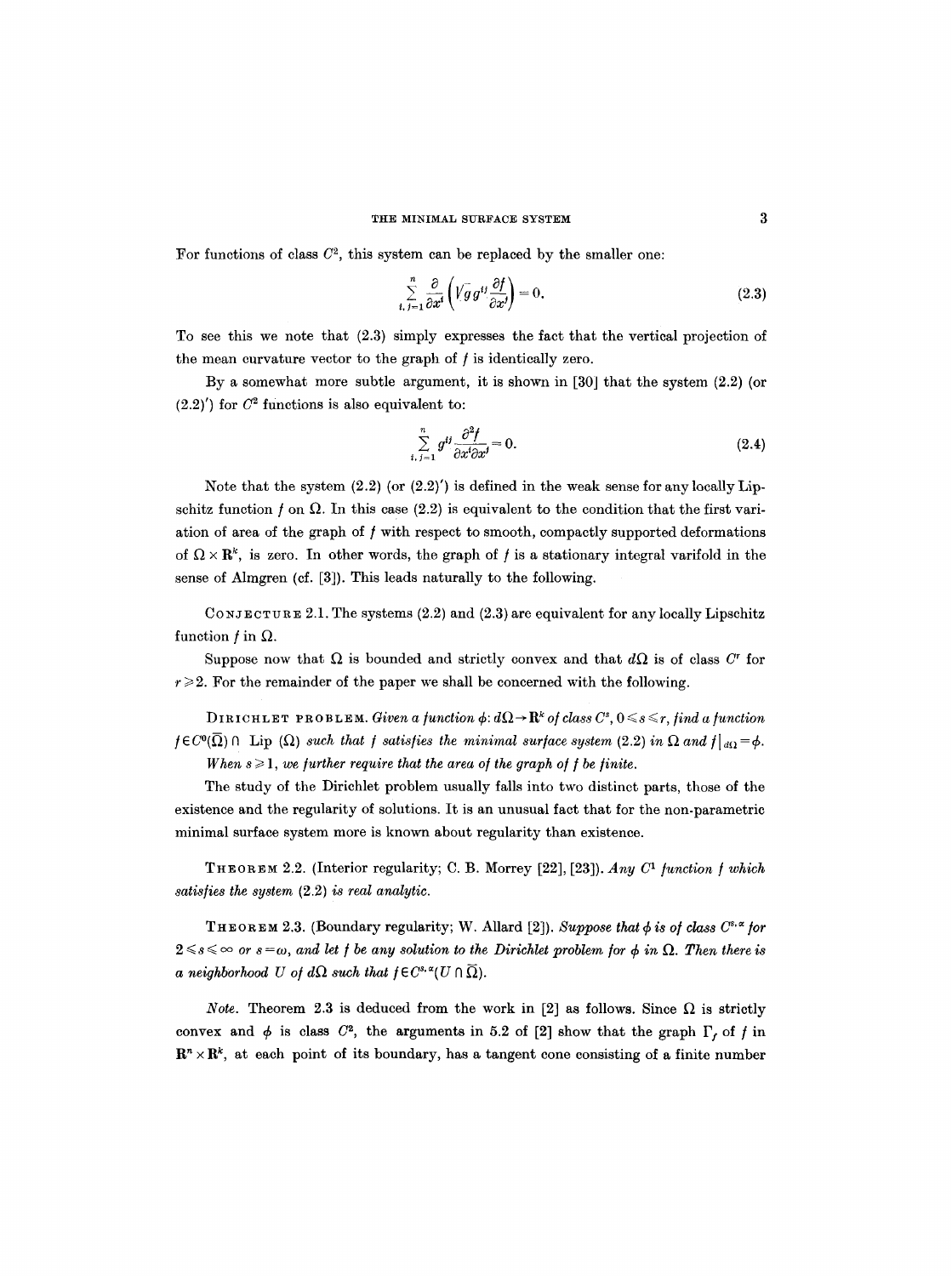#### THE MINIMAL SURFACE SYSTEM

For functions of class  $C^2$ , this system can be replaced by the smaller one:

$$
\sum_{i,j=1}^{n} \frac{\partial}{\partial x^{i}} \left( \sqrt{g} g^{ij} \frac{\partial f}{\partial x^{j}} \right) = 0.
$$
 (2.3)

To see this we note that (2.3) simply expresses the fact that the vertical projection of the mean curvature vector to the graph of  $f$  is identically zero.

By a somewhat more subtle argument, it is shown in [30] that the system (2.2) (or  $(2.2)'$ ) for  $C^2$  functions is also equivalent to:

$$
\sum_{i,j=1}^{n} g^{ij} \frac{\partial^2 f}{\partial x^i \partial x^j} = 0.
$$
\n(2.4)

Note that the system  $(2.2)$  (or  $(2.2)'$ ) is defined in the weak sense for any locally Lipschitz function f on  $\Omega$ . In this case (2.2) is equivalent to the condition that the first variation of area of the graph of  $f$  with respect to smooth, compactly supported deformations of  $\Omega \times \mathbb{R}^k$ , is zero. In other words, the graph of f is a stationary integral varifold in the sense of Almgren (cf. [3]). This leads naturally to the following.

CONJECTURE 2.1. The systems (2.2) and (2.3) are equivalent for any locally Lipschitz function  $f$  in  $\Omega$ .

Suppose now that  $\Omega$  is bounded and strictly convex and that  $d\Omega$  is of class C<sup>r</sup> for  $r \geqslant 2$ . For the remainder of the paper we shall be concerned with the following.

*DIRICHLET PROBLEM. Given a function*  $\phi: d\Omega \to \mathbf{R}^k$  *of class*  $C^s$ *,*  $0 \leq s \leq r$ *, find a function*  $f \in C^{0}(\overline{\Omega}) \cap \text{ Lip }(\Omega)$  *such that f satisfies the minimal surface system* (2.2) in  $\Omega$  and  $f|_{d\Omega} = \phi$ . *When*  $s \geq 1$ , *we further require that the area of the graph of f be finite.* 

The study of the Dirichlet problem usually falls into two distinct parts, those of the existence and the regularity of solutions. It is an unusual fact that for the non-parametric minimal surface system more is known about regularity than existence.

THEOREM 2.2. (Interior regularity; C. B. Morrey [22], [23]). *Any C<sup>1</sup>* function f which *satis/ies the system* (2.2) *is real analytic.* 

THEOREM 2.3. (Boundary regularity; W. Allard [2]). *Suppose that*  $\phi$  *is of class C<sup>s. x</sup> for*  $2 \leq s \leq \infty$  or  $s = \omega$ , and let f be any solution to the Dirichlet problem for  $\phi$  in  $\Omega$ . Then there is *a neighborhood* U of  $d\Omega$  such that  $f \in C^{s, \alpha}(U \cap \overline{\Omega}).$ 

*Note.* Theorem 2.3 is deduced from the work in [2] as follows. Since  $\Omega$  is strictly convex and  $\phi$  is class  $C^2$ , the arguments in 5.2 of [2] show that the graph  $\Gamma$ , of f in  $\mathbf{R}^n \times \mathbf{R}^k$ , at each point of its boundary, has a tangent cone consisting of a finite number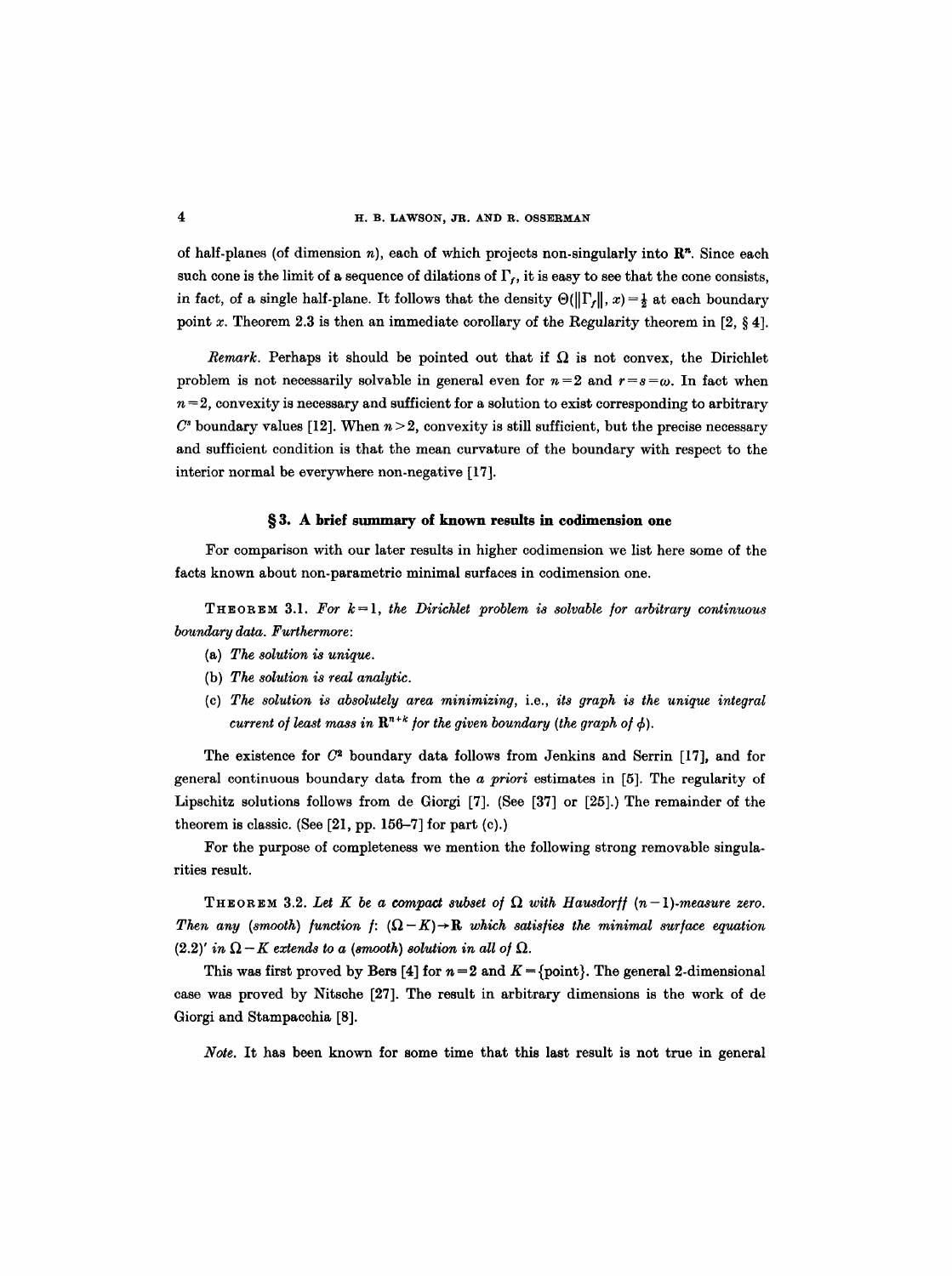of half-planes (of dimension n), each of which projects non-singularly into  $\mathbb{R}^n$ . Since each such cone is the limit of a sequence of dilations of  $\Gamma_t$ , it is easy to see that the cone consists, in fact, of a single half-plane. It follows that the density  $\Theta(||\Gamma_f||, x) = \frac{1}{2}$  at each boundary point x. Theorem 2.3 is then an immediate corollary of the Regularity theorem in  $[2, \S 4]$ .

*Remark.* Perhaps it should be pointed out that if  $\Omega$  is not convex, the Dirichlet problem is not necessarily solvable in general even for  $n=2$  and  $r=s=\omega$ . In fact when  $n = 2$ , convexity is necessary and sufficient for a solution to exist corresponding to arbitrary  $C<sup>s</sup>$  boundary values [12]. When  $n > 2$ , convexity is still sufficient, but the precise necessary and sufficient condition is that the mean curvature of the boundary with respect to the interior normal be everywhere non-negative [17].

### §3. A brief summary of known results in codimension one

For comparison with our later results in higher codimension we list here some of the facts known about non-parametric minimal surfaces in codimension one.

*T H E o R E M 3.1. For k = 1, the Dirichlet problem is solvable /or arbitrary continuous boundary data. Furthermore:* 

- (a) *The solution is unique.*
- (b) *The solution is real analytic.*
- (c) *The solution is absolutely area minimizing,* i.e., *its graph is the unique integral current of least mass in*  $\mathbb{R}^{n+k}$  *for the given boundary (the graph of*  $\phi$ *).*

The existence for  $C<sup>2</sup>$  boundary data follows from Jenkins and Serrin [17], and for general continuous boundary data from the *a priori* estimates in [5]. The regularity of Lipschitz solutions follows from de Giorgi [7]. (See [37] or [25].) The remainder of the theorem is classic. (See [21, pp. 156-7] for part (c).)

For the purpose of completeness we mention the following strong removable singularities result.

THEOREM 3.2. Let K be a compact subset of  $\Omega$  with Hausdorff  $(n-1)$ -measure zero. *Then any (smooth) function f:*  $(\Omega - K) \rightarrow \mathbf{R}$  *which satisfies the minimal surface equation*  $(2.2)'$  *in*  $\Omega - K$  extends to a (smooth) solution in all of  $\Omega$ .

This was first proved by Bers [4] for  $n=2$  and  $K = \{\text{point}\}\)$ . The general 2-dimensional case was proved by Nitsche [27]. The result in arbitrary dimensions is the work of de Giorgi and Stampaeohia [8].

Note. It has been known for some time that this last result is not true in general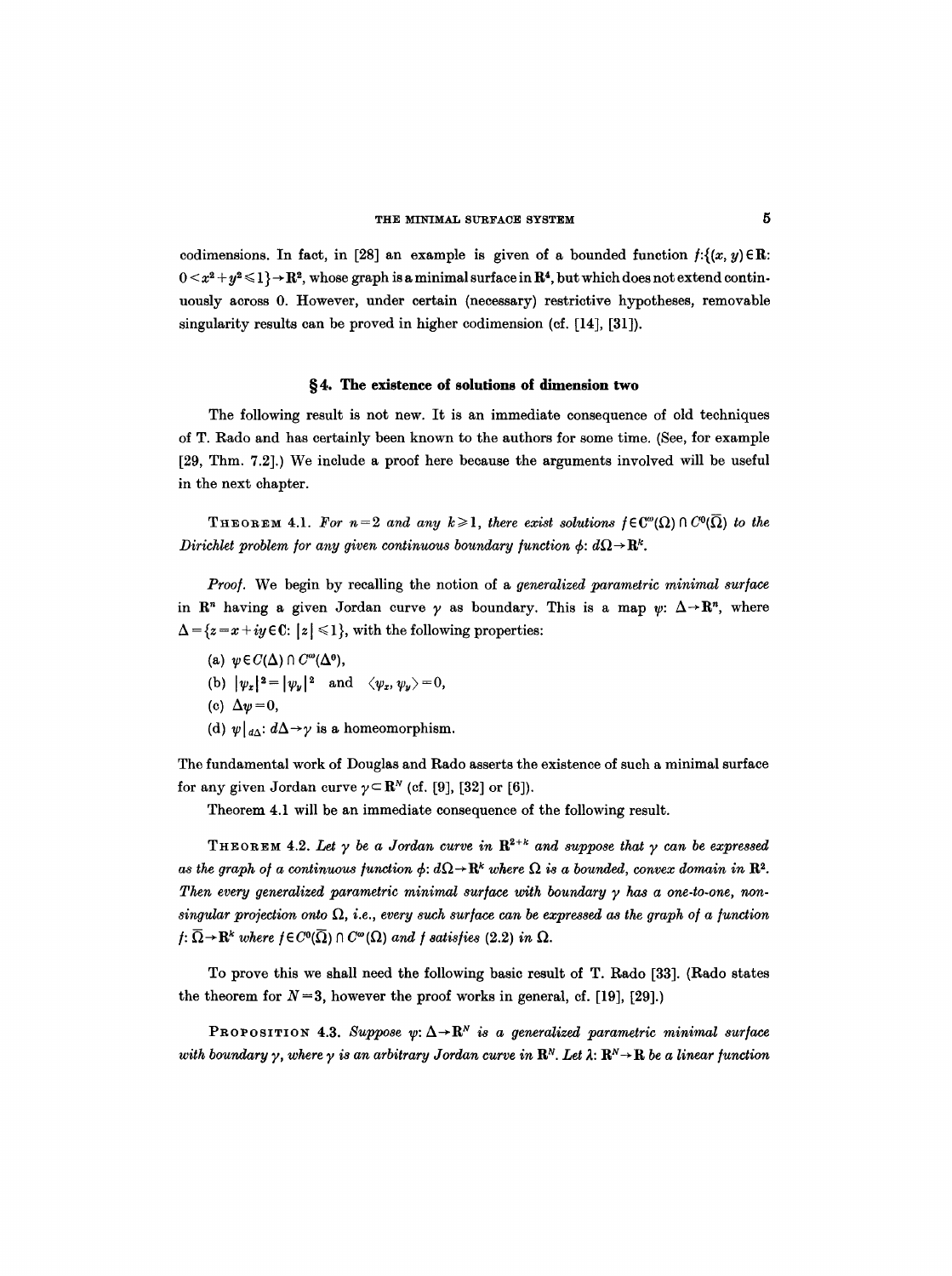#### THE MINIMAL SURFACE SYSTEM

codimensions. In fact, in [28] an example is given of a bounded function  $f: \{(x, y) \in \mathbb{R} :$  $0 < x^2 + y^2 \leq 1$   $\rightarrow$  R<sup>2</sup>, whose graph is a minimal surface in R<sup>4</sup>, but which does not extend continuously across 0. However, under certain (necessary) restrictive hypotheses, removable singularity results can be proved in higher codimension (cf. [14], [31]).

# **w 4. The existence of solutions of dimension two**

The following result is not new. It is an immediate consequence of old techniques of T. Rado and has certainly been known to the authors for some time. (See, for example [29, Thm. 7.2].) We include a proof here because the arguments involved will be useful in the next chapter.

**THEOREM 4.1.** For  $n=2$  and any  $k\geqslant1$ , there exist solutions  $f\in\mathbb{C}^{\omega}(\Omega)\cap\mathbb{C}^0(\overline{\Omega})$  to the *Dirichlet problem for any given continuous boundary function*  $\phi$ *:*  $d\Omega \rightarrow \mathbb{R}^k$ .

*Proo/.* We begin by recalling the notion of a *generalized parametric minimal sur/ace*  in  $\mathbb{R}^n$  having a given Jordan curve  $\gamma$  as boundary. This is a map  $\psi: \Delta \rightarrow \mathbb{R}^n$ , where  $\Delta = \{z = x + iy \in \mathbb{C}: |z| \leq 1\}$ , with the following properties:

(a)  $\psi \in C(\Delta) \cap C^{\omega}(\Delta^{\mathbf{0}})$ ,

(b)  $|\psi_x|^2 = |\psi_y|^2$  and  $\langle \psi_x, \psi_y \rangle = 0$ ,

- (c)  $\Delta \psi = 0$ ,
- (d)  $\psi|_{d\Delta}: d\Delta \rightarrow \gamma$  is a homeomorphism.

The fundamental work of Douglas and Rado asserts the existence of such a minimal surface for any given Jordan curve  $\gamma \subset \mathbb{R}^N$  (cf. [9], [32] or [6]).

Theorem 4.1 will be an immediate consequence of the following result.

THEOREM 4.2. Let  $\gamma$  be a Jordan curve in  $\mathbb{R}^{2+k}$  and suppose that  $\gamma$  can be expressed *as the graph of a continuous function*  $\phi$ :  $d\Omega \rightarrow \mathbb{R}^k$  *where*  $\Omega$  *is a bounded, convex domain in*  $\mathbb{R}^2$ . Then every generalized parametric minimal surface with boundary  $\gamma$  has a one-to-one, non*singular projection onto*  $\Omega$ , *i.e., every such surface can be expressed as the graph of a function*  $f: \overline{\Omega} \to \mathbf{R}^k$  where  $f \in C^0(\overline{\Omega}) \cap C^{\omega}(\Omega)$  and *f* satisfies (2.2) in  $\Omega$ .

To prove this we shall need the following basic result of T. Rado [33]. (Rado states the theorem for  $N=3$ , however the proof works in general, cf. [19], [29].)

**PROPOSITION 4.3.** Suppose  $\psi: \Delta \rightarrow \mathbb{R}^N$  is a generalized parametric minimal surface *with boundary*  $\gamma$ *, where*  $\gamma$  *is an arbitrary Jordan curve in*  $\mathbb{R}^N$ . Let  $\lambda: \mathbb{R}^N \to \mathbb{R}$  be a linear function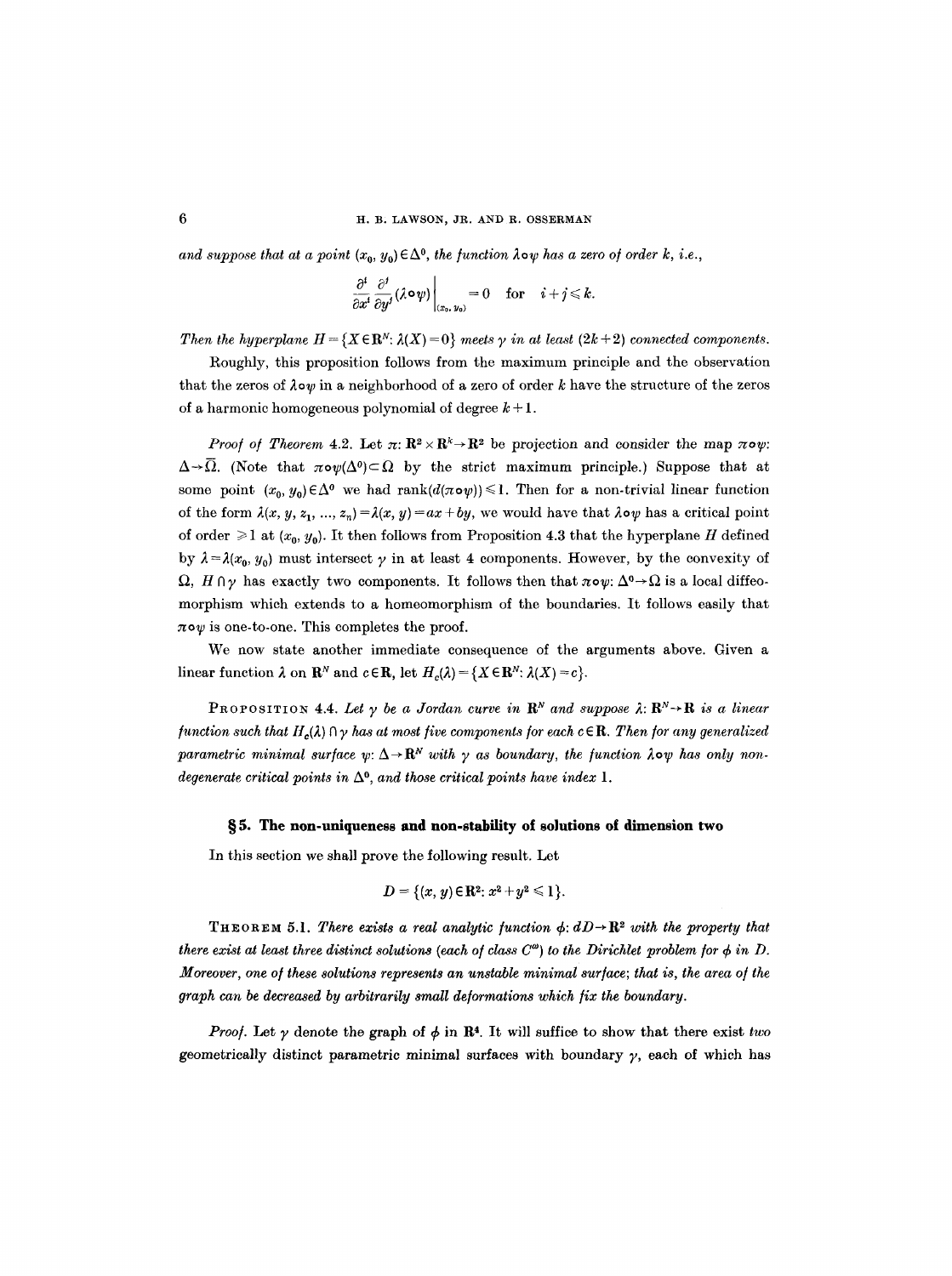*and suppose that at a point*  $(x_0, y_0) \in \Delta^0$ , *the function*  $\lambda \circ \psi$  *has a zero of order k, i.e.,* 

$$
\left.\frac{\partial^i}{\partial x^i}\frac{\partial^j}{\partial y^j}(\lambda \circ \psi)\right|_{(x_0, y_0)} = 0 \quad \text{for} \quad i + j \leq k.
$$

*Then the hyperplane*  $H = \{X \in \mathbb{R}^N : \lambda(X) = 0\}$  *meets y in at least*  $(2k + 2)$  *connected components.* 

Roughly, this proposition follows from the maximum principle and the observation that the zeros of  $\lambda \circ \psi$  in a neighborhood of a zero of order k have the structure of the zeros of a harmonic homogeneous polynomial of degree  $k+1$ .

*Proof of Theorem 4.2.* Let  $\pi: \mathbb{R}^2 \times \mathbb{R}^k \to \mathbb{R}^2$  be projection and consider the map  $\pi \circ \psi$ :  $\Delta \rightarrow \overline{\Omega}$ . (Note that  $\pi \circ \psi(\Delta^0) \subset \Omega$  by the strict maximum principle.) Suppose that at some point  $(x_0, y_0) \in \Delta^0$  we had rank $(d(\pi \circ \psi)) \leq 1$ . Then for a non-trivial linear function of the form  $\lambda(x, y, z_1, ..., z_n) = \lambda(x, y) = ax + by$ , we would have that  $\lambda \circ \psi$  has a critical point of order  $\geq 1$  at  $(x_0, y_0)$ . It then follows from Proposition 4.3 that the hyperplane H defined by  $\lambda = \lambda(x_0, y_0)$  must intersect  $\gamma$  in at least 4 components. However, by the convexity of  $\Omega$ ,  $H \cap \gamma$  has exactly two components. It follows then that  $\pi \circ \psi$ :  $\Delta^0 \rightarrow \Omega$  is a local diffeomorphism which extends to a homeomorphism of the boundaries. It follows easily that  $\pi \circ \psi$  is one-to-one. This completes the proof.

We now state another immediate consequence of the arguments above. Given a linear function  $\lambda$  on  $\mathbf{R}^N$  and  $c \in \mathbf{R}$ , let  $H_c(\lambda) = \{X \in \mathbf{R}^N : \lambda(X) = c\}.$ 

**PROPOSITION 4.4.** Let  $\gamma$  be a Jordan curve in  $\mathbb{R}^N$  and suppose  $\lambda: \mathbb{R}^N \rightarrow \mathbb{R}$  is a linear *function such that H<sub>c</sub>(* $\lambda$ *)*  $\Omega$   $\gamma$  has at most five components for each  $c \in \mathbb{R}$ . Then for any generalized parametric minimal surface  $\psi: \Delta \to \mathbb{R}^N$  with  $\gamma$  as boundary, the function  $\lambda \circ \psi$  has only non*degenerate critical points in*  $\Delta^0$ , and those critical points have index 1.

### §5. The non-uniqueness and non-stability of solutions of dimension two

In this section we shall prove the following result. Let

$$
D = \{(x, y) \in \mathbb{R}^2 : x^2 + y^2 \leq 1\}.
$$

THEOREM 5.1. There exists a real analytic function  $\phi$ :  $dD\rightarrow\mathbb{R}^2$  with the property that *there exist at least three distinct solutions (each of class*  $C^{\omega}$ *) to the Dirichlet problem for*  $\phi$  *in D. Moreover, one of these solutions represents an unstable minimal surface; that is, the area of the graph can be decreased by arbitrarily small deformations which/ix the boundary.* 

*Proof.* Let  $\gamma$  denote the graph of  $\phi$  in R<sup>4</sup>. It will suffice to show that there exist *two* geometrically distinct parametric minimal surfaces with boundary  $\gamma$ , each of which has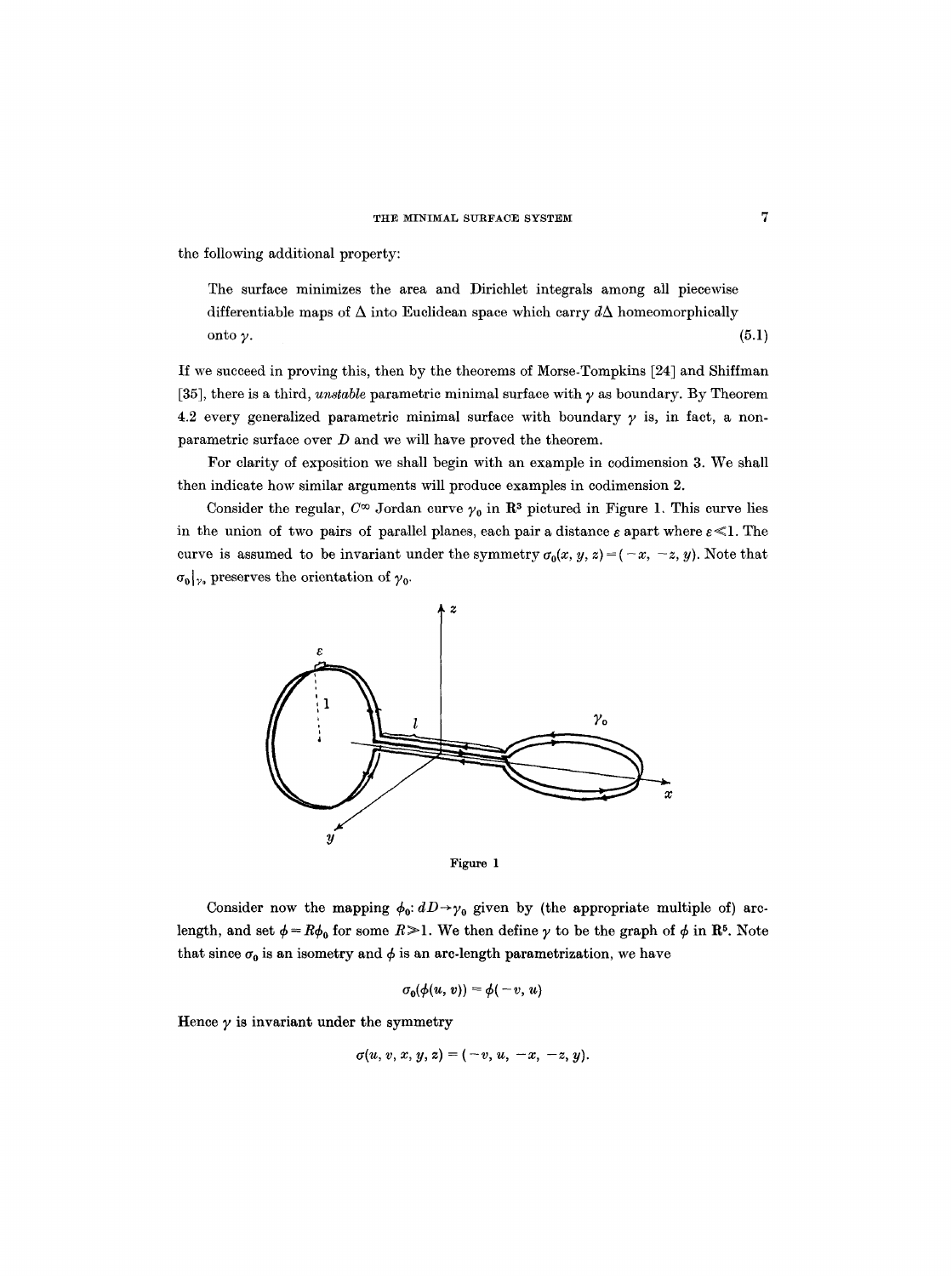the following additional property:

The surface minimizes the area and Dirichlet integrals among all piecewise differentiable maps of  $\Delta$  into Euclidean space which carry  $d\Delta$  homeomorphically  $\mathsf{onto}\ \mathsf{y}.$  (5.1)

If we succeed in proving this, then by the theorems of Morse-Tompkins [24] and Shiffman [35], there is a third, *unstable* parametric minimal surface with  $\gamma$  as boundary. By Theorem 4.2 every generalized parametric minimal surface with boundary  $\gamma$  is, in fact, a nonparametric surface over  $D$  and we will have proved the theorem.

For clarity of exposition we shall begin with an example in codimension 3. We shall then indicate how similar arguments will produce examples in codimension 2.

Consider the regular,  $C^{\infty}$  Jordan curve  $\gamma_0$  in  $\mathbb{R}^3$  pictured in Figure 1. This curve lies in the union of two pairs of parallel planes, each pair a distance  $\varepsilon$  apart where  $\varepsilon \ll 1$ . The curve is assumed to be invariant under the symmetry  $\sigma_0(x, y, z) = (-x, -z, y)$ . Note that  $\sigma_0|_{\gamma_0}$  preserves the orientation of  $\gamma_0$ .





Consider now the mapping  $\phi_0$ :  $dD \rightarrow \gamma_0$  given by (the appropriate multiple of) arclength, and set  $\phi = R\phi_0$  for some  $R \ge 1$ . We then define  $\gamma$  to be the graph of  $\phi$  in  $\mathbb{R}^5$ . Note that since  $\sigma_0$  is an isometry and  $\phi$  is an arc-length parametrization, we have

$$
\sigma_0(\phi(u, v)) = \phi(-v, u)
$$

Hence  $\gamma$  is invariant under the symmetry

$$
\sigma(u, v, x, y, z) = (-v, u, -x, -z, y).
$$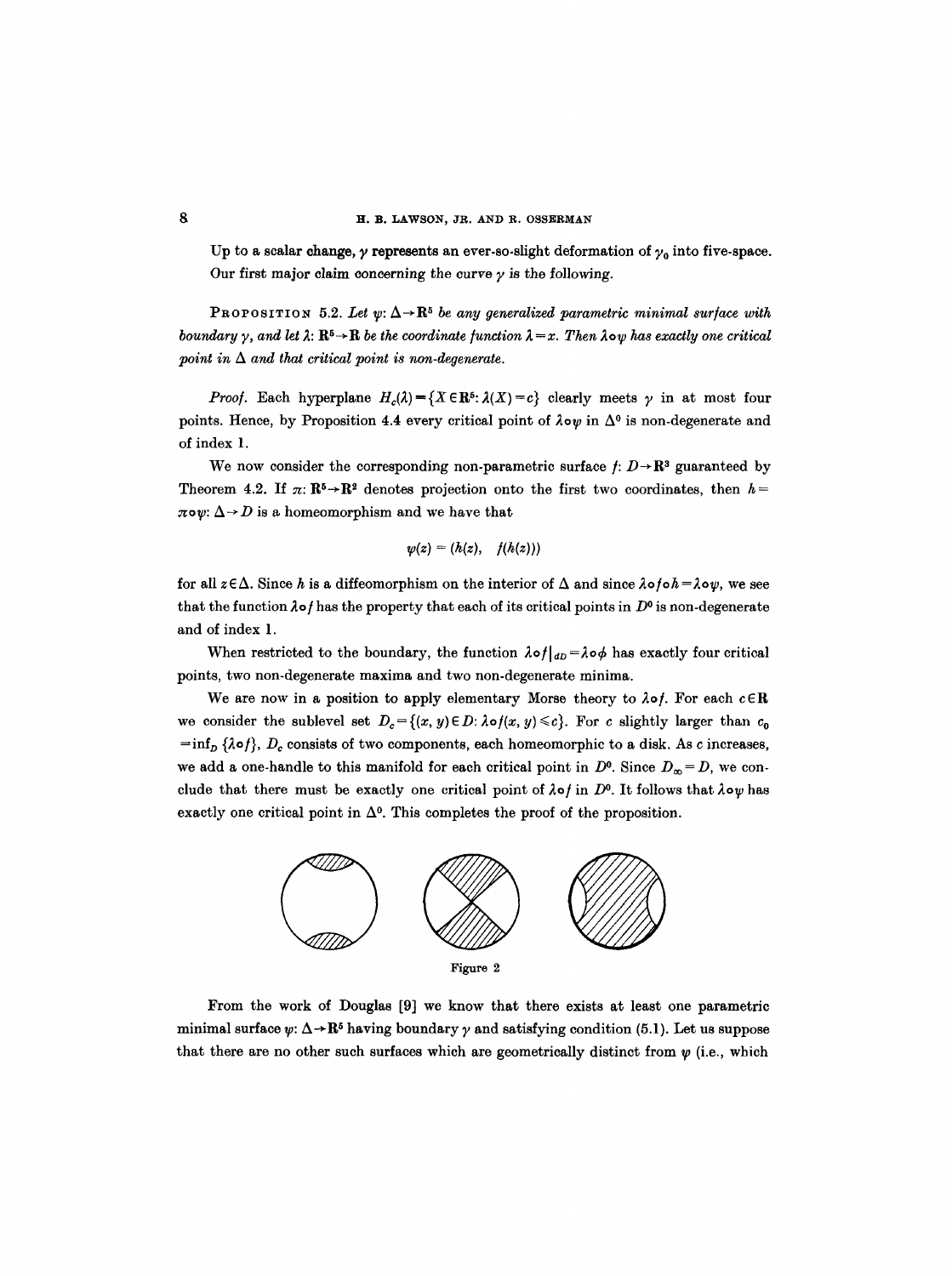Up to a scalar change,  $\gamma$  represents an ever-so-slight deformation of  $\gamma_0$  into five-space. Our first major claim concerning the curve  $\gamma$  is the following.

PROPOSITION 5.2. Let  $\psi: \Delta \rightarrow \mathbb{R}^5$  be any generalized parametric minimal surface with *boundary*  $\gamma$ , and let  $\lambda: \mathbb{R}^5 \to \mathbb{R}$  *be the coordinate function*  $\lambda = x$ . Then  $\lambda$ ow has exactly one critical *point in*  $\Delta$  *and that critical point is non-degenerate.* 

*Proof.* Each hyperplane  $H_c(\lambda) = \{X \in \mathbb{R}^5 : \lambda(X) = c\}$  clearly meets  $\gamma$  in at most four points. Hence, by Proposition 4.4 every critical point of  $\lambda \circ \psi$  in  $\Delta^0$  is non-degenerate and of index 1.

We now consider the corresponding non-parametric surface  $f: D \rightarrow \mathbb{R}^3$  guaranteed by Theorem 4.2. If  $\pi: \mathbb{R}^5 \to \mathbb{R}^2$  denotes projection onto the first two coordinates, then  $h =$  $\pi \circ \psi$ :  $\Delta \rightarrow D$  is a homeomorphism and we have that

$$
\psi(z)=(h(z),\quad f(h(z)))
$$

for all  $z \in \Delta$ . Since h is a diffeomorphism on the interior of  $\Delta$  and since  $\lambda \circ f \circ h = \lambda \circ \psi$ , we see that the function  $\lambda \circ f$  has the property that each of its critical points in  $D^0$  is non-degenerate and of index 1.

When restricted to the boundary, the function  $\lambda \circ f|_{dD} = \lambda \circ \phi$  has exactly four critical points, two non-degenerate maxima and two non-degenerate minima.

We are now in a position to apply elementary Morse theory to  $\lambda$ of. For each  $c \in \mathbb{R}$ we consider the sublevel set  $D_c = \{(x, y) \in D : \lambda \circ f(x, y) \leq c\}$ . For c slightly larger than  $c_0$  $=\inf_{D} {\lambda \circ f}$ ,  $D_c$  consists of two components, each homeomorphic to a disk. As c increases, we add a one-handle to this manifold for each critical point in  $D^0$ . Since  $D_{\infty} = D$ , we conclude that there must be exactly one critical point of  $\lambda \circ f$  in D<sup>o</sup>. It follows that  $\lambda \circ \psi$  has exactly one critical point in  $\Delta^0$ . This completes the proof of the proposition.



From the work of Douglas [9] we know that there exists at least one parametric minimal surface  $\psi: \Delta \rightarrow \mathbb{R}^5$  having boundary  $\gamma$  and satisfying condition (5.1). Let us suppose that there are no other such surfaces which are geometrically distinct from  $\psi$  (i.e., which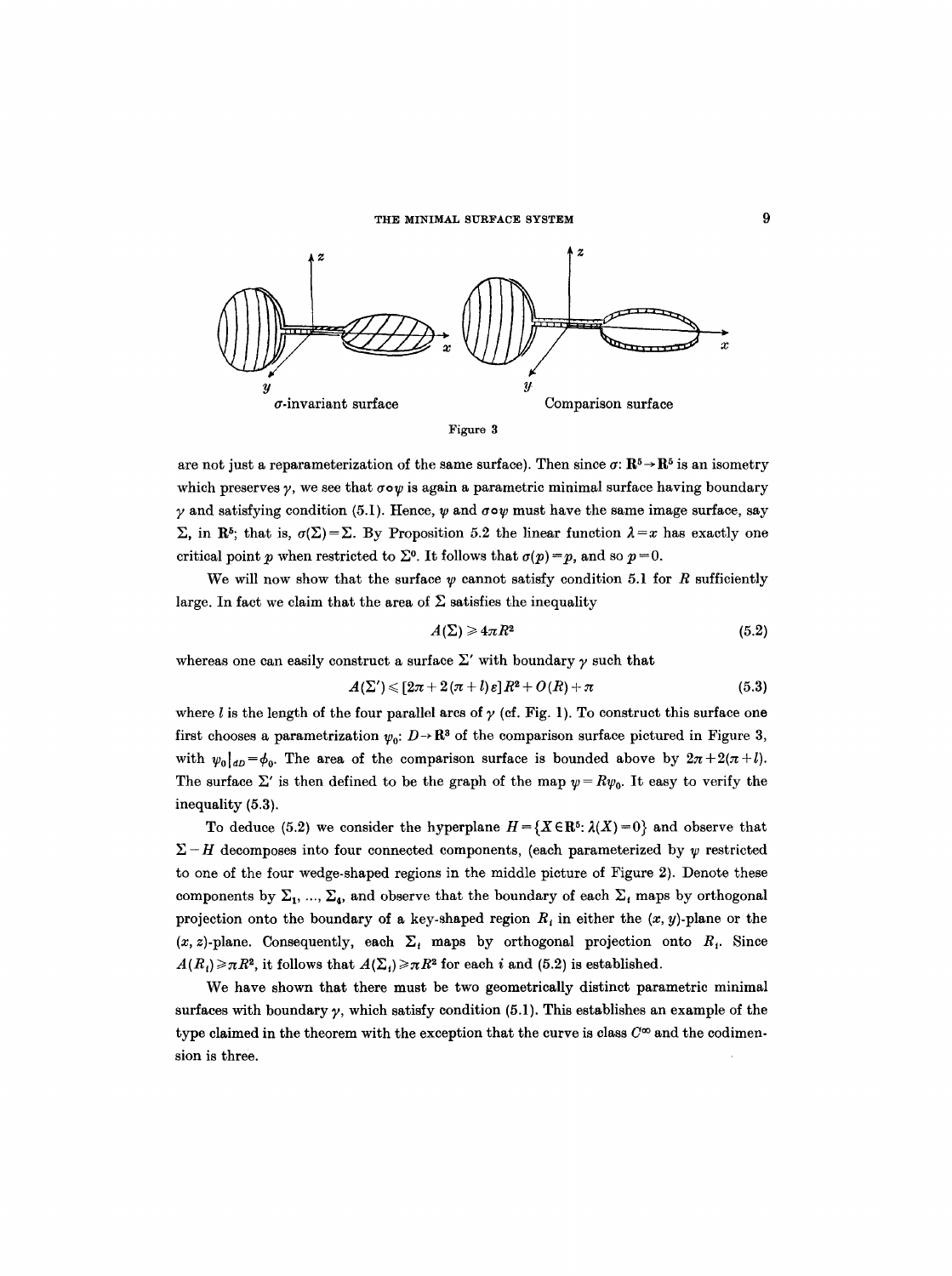

Figure 3

are not just a reparameterization of the same surface). Then since  $\sigma: \mathbb{R}^5 \to \mathbb{R}^5$  is an isometry which preserves  $\gamma$ , we see that  $\sigma \circ \psi$  is again a parametric minimal surface having boundary  $\gamma$  and satisfying condition (5.1). Hence,  $\psi$  and  $\sigma \circ \psi$  must have the same image surface, say  $\Sigma$ , in R<sup>5</sup>; that is,  $\sigma(\Sigma) = \Sigma$ . By Proposition 5.2 the linear function  $\lambda = x$  has exactly one critical point p when restricted to  $\Sigma^0$ . It follows that  $\sigma(p) = p$ , and so  $p = 0$ .

We will now show that the surface  $\psi$  cannot satisfy condition 5.1 for R sufficiently large. In fact we claim that the area of  $\Sigma$  satisfies the inequality

$$
A(\Sigma) \geqslant 4\pi R^2 \tag{5.2}
$$

whereas one can easily construct a surface  $\Sigma'$  with boundary  $\gamma$  such that

$$
A(\Sigma')\leqslant [2\pi+2(\pi+l)\epsilon]R^2+O(R)+\pi\qquad \qquad (5.3)
$$

where *l* is the length of the four parallel arcs of  $\gamma$  (cf. Fig. 1). To construct this surface one first chooses a parametrization  $\psi_0: D \to \mathbb{R}^3$  of the comparison surface pictured in Figure 3, with  $\psi_0|_{dD}=\phi_0$ . The area of the comparison surface is bounded above by  $2\pi+2(\pi+l)$ . The surface  $\Sigma'$  is then defined to be the graph of the map  $\psi = R\psi_0$ . It easy to verify the inequality (5.3).

To deduce (5.2) we consider the hyperplane  $H = \{X \in \mathbb{R}^5 : \lambda(X) = 0\}$  and observe that  $\Sigma-H$  decomposes into four connected components, (each parameterized by  $\psi$  restricted to one of the four wedge-shaped regions in the middle picture of Figure 2). Denote these components by  $\Sigma_1$ , ...,  $\Sigma_4$ , and observe that the boundary of each  $\Sigma_i$  maps by orthogonal projection onto the boundary of a key-shaped region  $R_t$  in either the  $(x, y)$ -plane or the  $(x, z)$ -plane. Consequently, each  $\Sigma_i$  maps by orthogonal projection onto  $R_i$ . Since  $A(R_i) \geq \pi R^2$ , it follows that  $A(\Sigma_i) \geq \pi R^2$  for each i and (5.2) is established.

We have shown that there must be two geometrically distinct parametric minimal surfaces with boundary  $\gamma$ , which satisfy condition (5.1). This establishes an example of the type claimed in the theorem with the exception that the curve is class  $C^{\infty}$  and the codimension is three.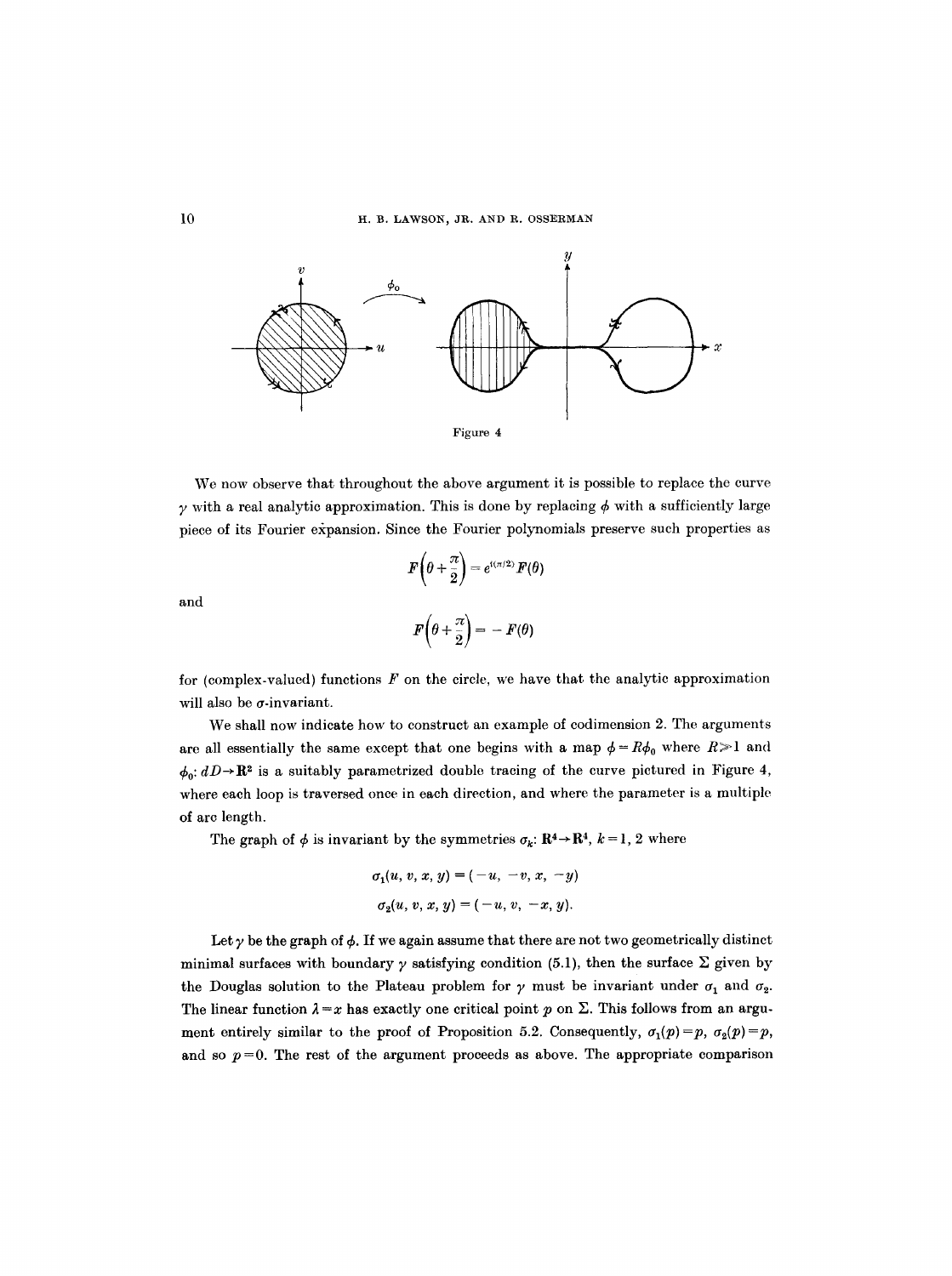

We now observe that throughout the above argument it is possible to replace the curve  $\gamma$  with a real analytic approximation. This is done by replacing  $\phi$  with a sufficiently large piece of its Fourier expansion. Since the Fourier polynomials preserve such properties as

$$
F\left(\theta + \frac{\pi}{2}\right) = e^{i(\pi/2)} F(\theta)
$$
  

$$
F\left(\theta + \frac{\pi}{2}\right) = -F(\theta)
$$

and

for (complex-valued) functions  $F$  on the circle, we have that the analytic approximation will also be  $\sigma$ -invariant.

We shall now indicate how to construct an example of codimension 2. The arguments are all essentially the same except that one begins with a map  $\phi = R\phi_0$  where  $R \ge 1$  and  $\phi_0: dD \rightarrow \mathbb{R}^2$  is a suitably parametrized double tracing of the curve pictured in Figure 4, where each loop is traversed once in each direction, and where the parameter is a multiple of arc length.

The graph of  $\phi$  is invariant by the symmetries  $\sigma_k: \mathbb{R}^4 \to \mathbb{R}^4, k = 1, 2$  where

$$
\sigma_1(u, v, x, y) = (-u, -v, x, -y)
$$
  
\n
$$
\sigma_2(u, v, x, y) = (-u, v, -x, y).
$$

Let  $\gamma$  be the graph of  $\phi$ . If we again assume that there are not two geometrically distinct minimal surfaces with boundary  $\gamma$  satisfying condition (5.1), then the surface  $\Sigma$  given by the Douglas solution to the Plateau problem for  $\gamma$  must be invariant under  $\sigma_1$  and  $\sigma_2$ . The linear function  $\lambda = x$  has exactly one critical point p on  $\Sigma$ . This follows from an argument entirely similar to the proof of Proposition 5.2. Consequently,  $\sigma_1(p) = p$ ,  $\sigma_2(p) = p$ , and so  $p=0$ . The rest of the argument proceeds as above. The appropriate comparison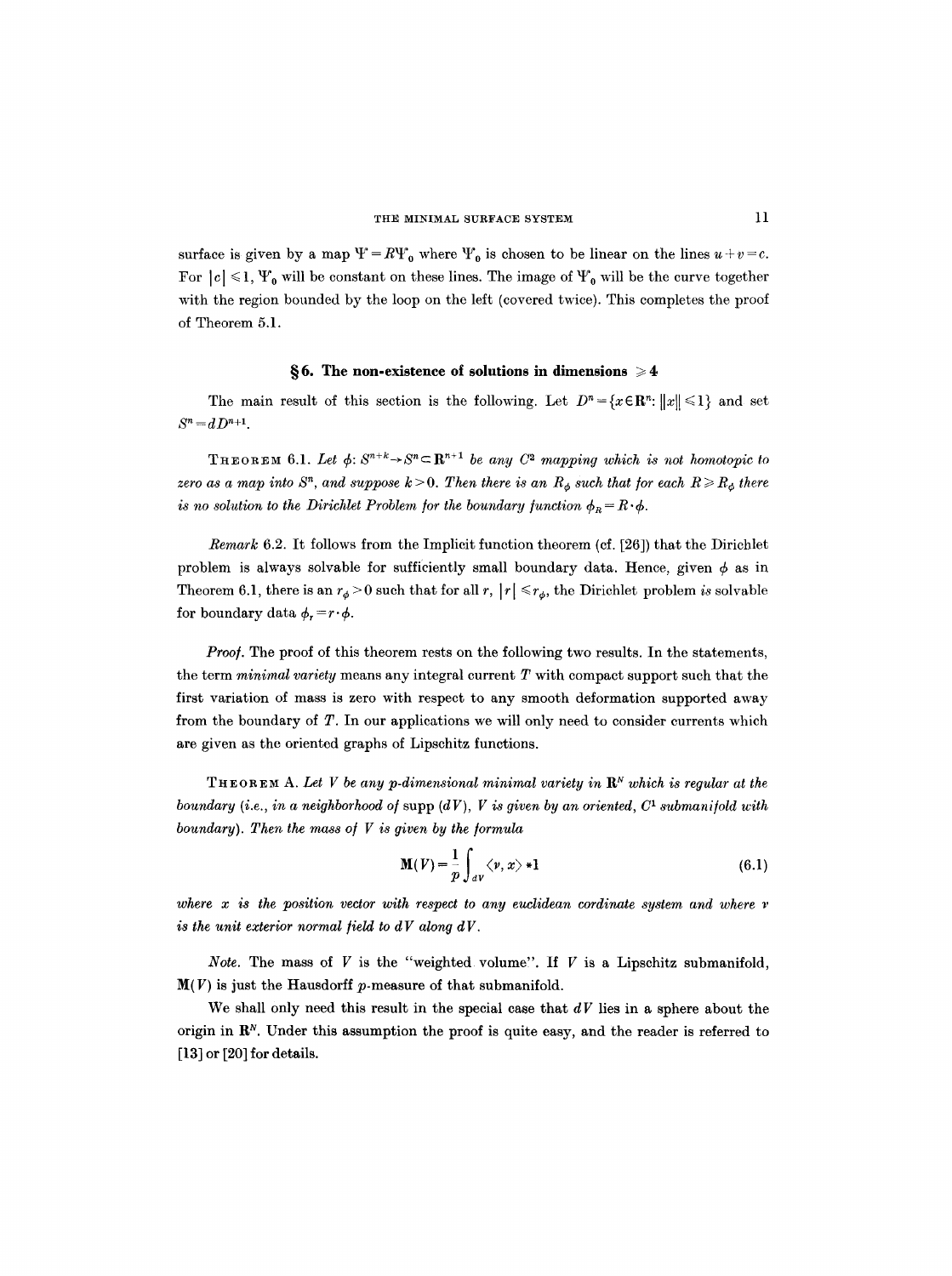surface is given by a map  $\Psi = R\Psi_0$  where  $\Psi_0$  is chosen to be linear on the lines  $u + v = c$ . For  $|c| \leq 1$ ,  $\Psi_0$  will be constant on these lines. The image of  $\Psi_0$  will be the curve together with the region bounded by the loop on the left (covered twice). This completes the proof of Theorem 5.1.

#### §6. The non-existence of solutions in dimensions ≥4

The main result of this section is the following. Let  $D^n = \{x \in \mathbb{R}^n : ||x|| \leq 1\}$  and set  $S^{n} = dD^{n+1}$ .

THEOREM 6.1. Let  $\phi: S^{n+k} \to S^n \subset \mathbb{R}^{n+1}$  be any  $C^2$  mapping which is not homotopic to *zero as a map into S<sup>n</sup>, and suppose k* > 0. Then there is an  $R_{\phi}$  such that for each  $R \ge R_{\phi}$  there *is no solution to the Dirichlet Problem for the boundary function*  $\phi_R = R \cdot \phi$ .

*Remark* 6.2. It follows from the Implicit function theorem (cf. [26]) that the Dirichlet problem is always solvable for sufficiently small boundary data. Hence, given  $\phi$  as in Theorem 6.1, there is an  $r_{\phi} > 0$  such that for all r,  $|r| \le r_{\phi}$ , the Dirichlet problem *is* solvable for boundary data  $\phi_r = r \cdot \phi$ .

*Proof.* The proof of this theorem rests on the following two results. In the statements, the term *minimal variety* means any integral current T with compact support such that the first variation of mass is zero with respect to any smooth deformation supported away from the boundary of T. In our applications we will only need to consider currents which are given as the oriented graphs of Lipschitz functions.

THEOREM A. Let V be any p-dimensional minimal variety in  $\mathbb{R}^N$  which is regular at the *boundary (i.e., in a neighborhood of supp (dV), V is given by an oriented,*  $C<sup>1</sup>$  *submanifold with boundary). Then the mass o/ V is given by the ]ormula* 

$$
\mathbf{M}(V) = \frac{1}{p} \int_{dV} \langle v, x \rangle * \mathbf{1}
$$
 (6.1)

where  $x$  is the position vector with respect to any euclidean cordinate system and where  $y$ *is the unit exterior normal field to*  $dV$  *along*  $dV$ *.* 

*Note.* The mass of  $V$  is the "weighted volume". If  $V$  is a Lipschitz submanifold,  $\mathbf{M}(V)$  is just the Hausdorff p-measure of that submanifold.

We shall only need this result in the special case that  $dV$  lies in a sphere about the origin in  $\mathbb{R}^N$ . Under this assumption the proof is quite easy, and the reader is referred to [13] or [20] for details.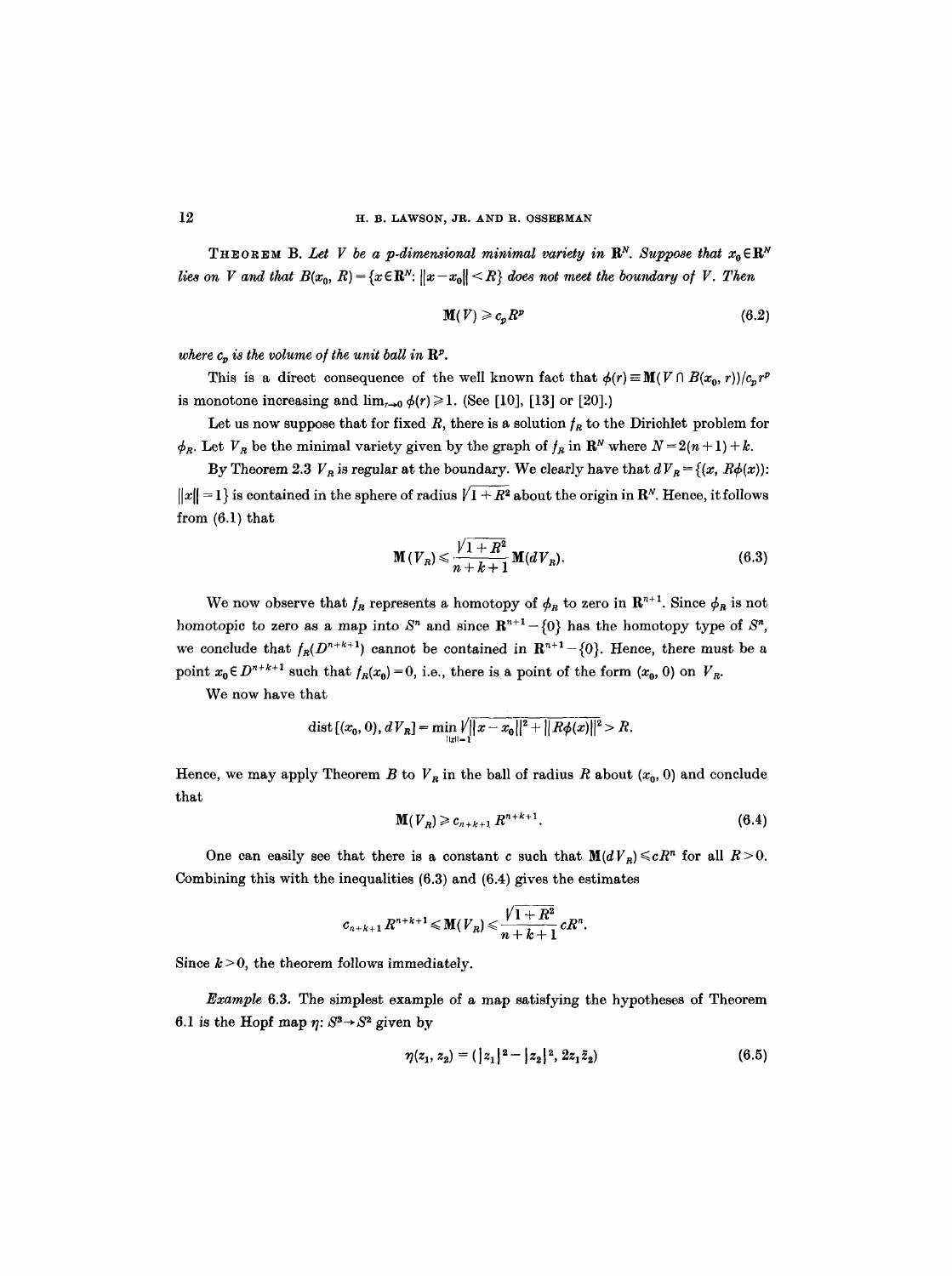**THEOREM** B. Let V be a p-dimensional minimal variety in  $\mathbb{R}^N$ . Suppose that  $x_0 \in \mathbb{R}^N$ *lies on V and that*  $B(x_0, R) = \{x \in \mathbb{R}^N : ||x - x_0|| \le R\}$  does not meet the boundary of V. Then

$$
\mathbf{M}(V) \geqslant c_p R^p \tag{6.2}
$$

where  $c_n$  is the volume of the unit ball in  $\mathbb{R}^p$ .

This is a direct consequence of the well known fact that  $\phi(r) \equiv \mathbf{M}(V \cap B(x_0, r))/c_n r^p$ is monotone increasing and  $\lim_{r\to 0} \phi(r) \geq 1$ . (See [10], [13] or [20].)

Let us now suppose that for fixed R, there is a solution  $f_R$  to the Dirichlet problem for  $\phi_R$ . Let  $V_R$  be the minimal variety given by the graph of  $f_R$  in  $\mathbf{R}^N$  where  $N = 2(n+1) + k$ .

By Theorem 2.3  $V_R$  is regular at the boundary. We clearly have that  $dV_R = \{(x, R\phi(x))\colon$  $||x|| = 1$  is contained in the sphere of radius  $\sqrt{1 + R^2}$  about the origin in R<sup>N</sup>. Hence, it follows from  $(6.1)$  that

$$
\mathbf{M}(V_R) \leqslant \frac{\sqrt{1+R^2}}{n+k+1} \mathbf{M}(dV_R). \tag{6.3}
$$

We now observe that  $f_R$  represents a homotopy of  $\phi_R$  to zero in  $\mathbb{R}^{n+1}$ . Since  $\phi_R$  is not homotopic to zero as a map into  $S<sup>n</sup>$  and since  $\mathbb{R}^{n+1} - \{0\}$  has the homotopy type of  $S<sup>n</sup>$ , we conclude that  $f_R(D^{n+k+1})$  cannot be contained in  $\mathbb{R}^{n+1} - \{0\}$ . Hence, there must be a point  $x_0 \in D^{n+k+1}$  such that  $f_R(x_0) = 0$ , i.e., there is a point of the form  $(x_0, 0)$  on  $V_R$ .

We now have that

dist 
$$
[(x_0, 0), dV_R]
$$
 = min  $||u||_1$   $||x - x_0||^2 + ||R\phi(x)||^2 > R$ .

Hence, we may apply Theorem B to  $V_R$  in the ball of radius R about  $(x_0, 0)$  and conclude that

$$
\mathbf{M}(V_R) \geqslant c_{n+k+1} \, R^{n+k+1}.\tag{6.4}
$$

One can easily see that there is a constant c such that  $M(dV_R) \leq cR^n$  for all  $R>0$ . Combining this with the inequalities (6.3) and (6.4) gives the estimates

$$
c_{n+k+1} R^{n+k+1} \leqslant \mathbf{M}(V_R) \leqslant \frac{\sqrt{1+R^2}}{n+k+1} c R^n.
$$

Since  $k > 0$ , the theorem follows immediately.

*Example* 6.3. The simplest example of a map satisfying the hypotheses of Theorem 6.1 is the Hopf map  $\eta$ :  $S^3 \rightarrow S^2$  given by

$$
\eta(z_1, z_2) = (|z_1|^2 - |z_2|^2, 2z_1 \bar{z}_2) \tag{6.5}
$$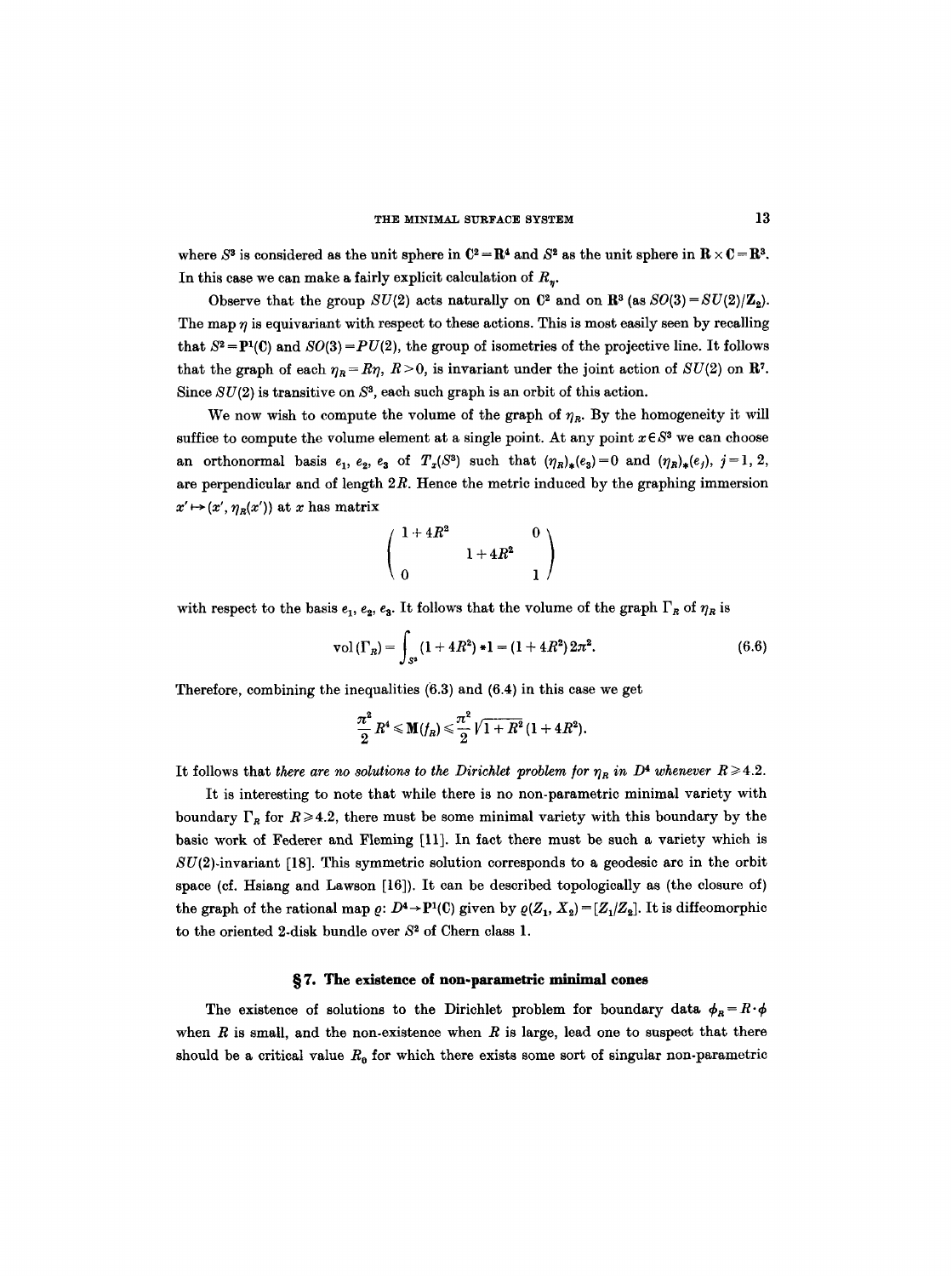where  $S^3$  is considered as the unit sphere in  $\mathbb{C}^2 = \mathbb{R}^4$  and  $S^2$  as the unit sphere in  $\mathbb{R} \times \mathbb{C} = \mathbb{R}^3$ . In this case we can make a fairly explicit calculation of  $R_n$ .

Observe that the group  $SU(2)$  acts naturally on  $\mathbb{C}^2$  and on  $\mathbb{R}^3$  (as  $SO(3) = SU(2)/\mathbb{Z}_2$ ). The map  $\eta$  is equivariant with respect to these actions. This is most easily seen by recalling that  $S^2 = P^1(C)$  and  $SO(3) = PU(2)$ , the group of isometries of the projective line. It follows that the graph of each  $\eta_R = R\eta$ ,  $R > 0$ , is invariant under the joint action of  $SU(2)$  on R<sup>7</sup>. Since  $SU(2)$  is transitive on  $S<sup>3</sup>$ , each such graph is an orbit of this action.

We now wish to compute the volume of the graph of  $\eta_R$ . By the homogeneity it will suffice to compute the volume element at a single point. At any point  $x \in S^3$  we can choose an orthonormal basis  $e_1$ ,  $e_2$ ,  $e_3$  of  $T_x(S^3)$  such that  $(\eta_R)_*(e_3)=0$  and  $(\eta_R)_*(e_j)$ ,  $j=1, 2$ , are perpendicular and of length  $2R$ . Hence the metric induced by the graphing immersion  $x' \mapsto (x', \eta_R(x'))$  at x has matrix

$$
\left(\begin{array}{cc} 1+4R^2 & 0 \\[1mm] 0 & 1+4R^2 & 1 \end{array}\right)
$$

with respect to the basis  $e_1, e_2, e_3$ . It follows that the volume of the graph  $\Gamma_R$  of  $\eta_R$  is

$$
\mathrm{vol}\left(\Gamma_{R}\right)=\int_{S^{2}}\left(1+4R^{2}\right)\ast1=\left(1+4R^{2}\right)2\pi^{2}.\tag{6.6}
$$

Therefore, combining the inequalities (6.3) and (6.4) in this case we get

$$
\frac{\pi^2}{2} R^4 \leqslant M(f_R) \leqslant \frac{\pi^2}{2} \sqrt{1+R^2} (1+4R^2).
$$

It follows that *there are no solutions to the Dirichlet problem for*  $\eta_R$  in  $D^4$  whenever  $R \geq 4.2$ .

It is interesting to note that while there is no non-parametric minimal variety with boundary  $\Gamma_R$  for  $R \ge 4.2$ , there must be some minimal variety with this boundary by the basic work of Federer and Fleming [11]. In fact there must be such a variety which is  $SU(2)$ -invariant [18]. This symmetric solution corresponds to a geodesic arc in the orbit space (cf. Hsiang and Lawson [16]). It can be described topologically as (the closure of) the graph of the rational map  $\varrho: D^4 \to P^1(\mathbb{C})$  given by  $\varrho(Z_1, X_2) = [Z_1/Z_2]$ . It is diffeomorphic to the oriented 2-disk bundle over  $S<sup>2</sup>$  of Chern class 1.

#### §7. The existence of non-parametric minimal cones

The existence of solutions to the Dirichlet problem for boundary data  $\phi_R = R \cdot \phi$ when  $R$  is small, and the non-existence when  $R$  is large, lead one to suspect that there should be a critical value  $R_0$  for which there exists some sort of singular non-parametric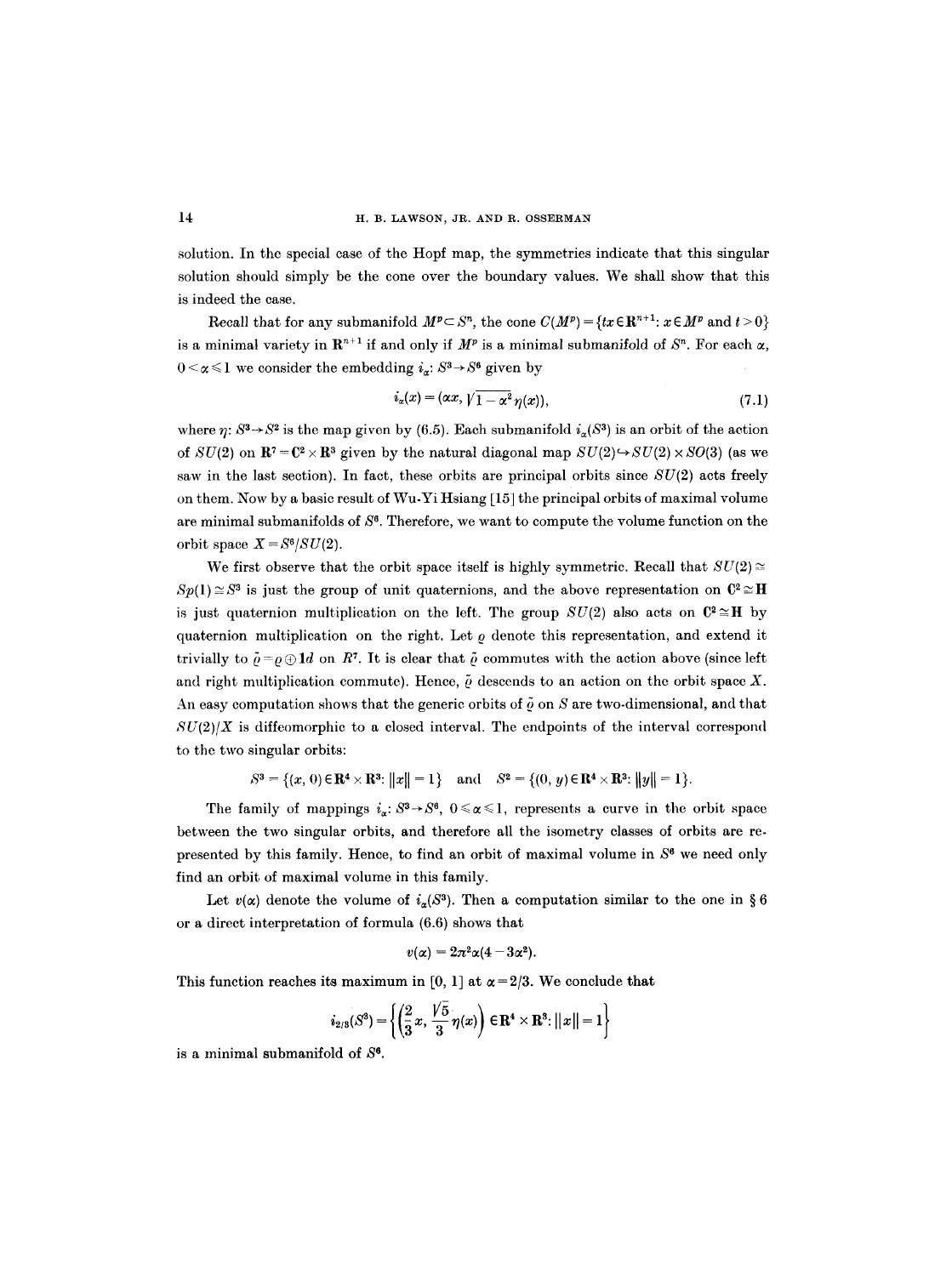solution. In the special case of the Hopf map, the symmetries indicate that this singular solution should simply be the cone over the boundary values. We shall show that this is indeed the case.

Recall that for any submanifold  $M^p \subset S^n$ , the cone  $C(M^p) = \{tx \in \mathbb{R}^{n+1}: x \in M^p \text{ and } t > 0\}$ is a minimal variety in  $\mathbb{R}^{n+1}$  if and only if  $M^p$  is a minimal submanifold of  $S^n$ . For each  $\alpha$ ,  $0 < \alpha \leq 1$  we consider the embedding  $i_{\alpha}: S^3 \rightarrow S^6$  given by

$$
i_{\alpha}(x) = (\alpha x, \sqrt{1 - \alpha^2} \eta(x)), \qquad (7.1)
$$

where  $\eta: S^3 \to S^2$  is the map given by (6.5). Each submanifold  $i_{\alpha}(S^3)$  is an orbit of the action of  $SU(2)$  on  $\mathbb{R}^7 = \mathbb{C}^2 \times \mathbb{R}^3$  given by the natural diagonal map  $SU(2) \rightarrow SU(2) \times SO(3)$  (as we saw in the last section). In fact, these orbits are principal orbits since  $SU(2)$  acts freely on them. Now by a basic result of Wu-Yi Hsiang [15] the principal orbits of maximal volume are minimal submanifolds of  $S<sup>6</sup>$ . Therefore, we want to compute the volume function on the orbit space  $X = S^6/SU(2)$ .

We first observe that the orbit space itself is highly symmetric. Recall that  $SU(2) \approx$  $Sp(1) \cong S^3$  is just the group of unit quaternions, and the above representation on  $\mathbb{C}^2 \cong \mathbb{H}$ is just quaternion multiplication on the left. The group  $SU(2)$  also acts on  $\mathbb{C}^2 \cong \mathbb{H}$  by quaternion multiplication on the right. Let  $\rho$  denote this representation, and extend it trivially to  $\tilde{\rho} = \rho \oplus \mathbf{1}d$  on R<sup>7</sup>. It is clear that  $\tilde{\rho}$  commutes with the action above (since left and right multiplication commute). Hence,  $\tilde{\varrho}$  descends to an action on the orbit space X. An easy computation shows that the generic orbits of  $\tilde{\rho}$  on S are two-dimensional, and that  $SU(2)/X$  is diffeomorphic to a closed interval. The endpoints of the interval correspond to the two singular orbits:

$$
S^3 = \{(x, 0) \in \mathbf{R}^4 \times \mathbf{R}^3 : ||x|| = 1\}
$$
 and  $S^2 = \{(0, y) \in \mathbf{R}^4 \times \mathbf{R}^3 : ||y|| = 1\}.$ 

The family of mappings  $i_{\alpha} : S^3 \to S^6$ ,  $0 \le \alpha \le 1$ , represents a curve in the orbit space between the two singular orbits, and therefore all the isometry classes of orbits are represented by this family. Hence, to find an orbit of maximal volume in  $S<sup>6</sup>$  we need only find an orbit of maximal volume in this family.

Let  $v(\alpha)$  denote the volume of  $i_{\alpha}(S^3)$ . Then a computation similar to the one in §6 or a direct interpretation of formula (6.6) shows that

$$
v(\alpha)=2\pi^2\alpha(4-3\alpha^2).
$$

This function reaches its maximum in [0, 1] at  $\alpha = 2/3$ . We conclude that

$$
i_{2/3}(S^3) = \left\{ \left( \frac{2}{3} x, \frac{\sqrt{5}}{3} \eta(x) \right) \in \mathbf{R}^4 \times \mathbf{R}^3 : ||x|| = 1 \right\}
$$

is a minimal submanifold of  $S<sup>6</sup>$ .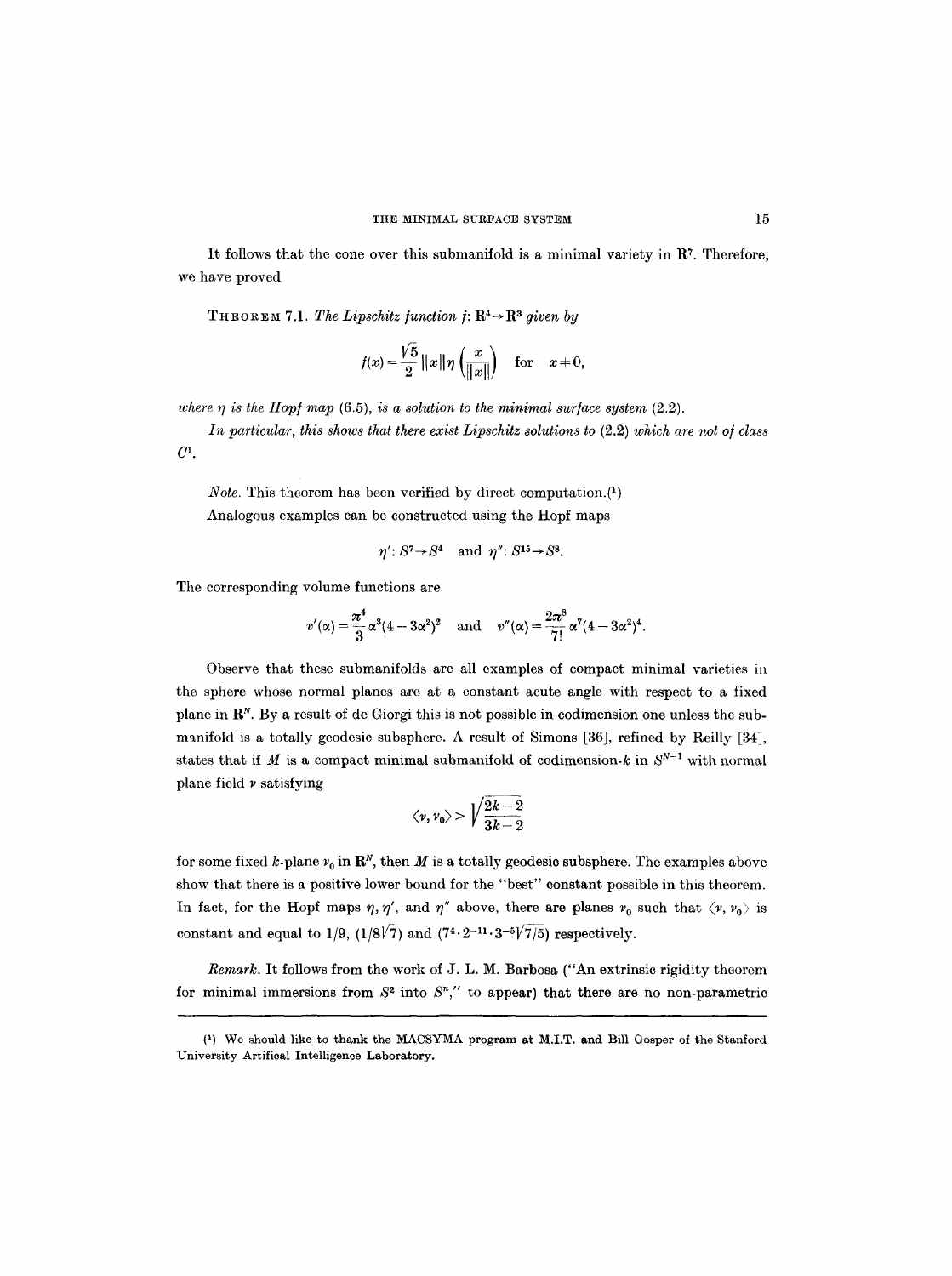It follows that the cone over this submanifold is a minimal variety in  $\mathbb{R}^7$ . Therefore, we have proved

THEOREM 7.1. The Lipschitz function  $f: \mathbb{R}^4 \rightarrow \mathbb{R}^3$  given by

$$
f(x) = \frac{\sqrt{5}}{2} ||x|| \eta \left( \frac{x}{||x||} \right) \quad \text{for} \quad x \neq 0,
$$

*where*  $\eta$  *is the Hopf map* (6.5), *is a solution to the minimal surface system* (2.2).

In particular, this shows that there exist Lipschitz solutions to  $(2.2)$  which are not of class  $C<sup>1</sup>$ .

*Note.* This theorem has been verified by direct computation. $(1)$ Analogous examples can be constructed using the Hopf maps

$$
\eta'
$$
:  $S^7 \rightarrow S^4$  and  $\eta''$ :  $S^{15} \rightarrow S^8$ .

The corresponding volume functions are

$$
v'(\alpha) = \frac{\pi^4}{3} \alpha^3 (4 - 3\alpha^2)^2
$$
 and  $v''(\alpha) = \frac{2\pi^8}{7!} \alpha^7 (4 - 3\alpha^2)^4$ .

Observe that these submanifolds are all examples of compact minimal varieties in the sphere whose normal planes are at a constant acute angle with respect to a fixed plane in  $\mathbb{R}^N$ . By a result of de Giorgi this is not possible in codimension one unless the submanifold is a totally geodesic subsphere. A result of Simons [36], refined by Reilly [34], states that if M is a compact minimal submanifold of codimension-k in  $S^{N-1}$  with normal plane field  $\nu$  satisfying

$$
\langle \nu,\nu_0\rangle>\Big|\sqrt{\frac{2k-2}{3k-2}}
$$

for some fixed k-plane  $v_0$  in  $\mathbb{R}^N$ , then M is a totally geodesic subsphere. The examples above show that there is a positive lower bound for the "best" constant possible in this theorem. In fact, for the Hopf maps  $\eta$ ,  $\eta'$ , and  $\eta''$  above, there are planes  $v_0$  such that  $\langle v, v_0 \rangle$  is constant and equal to 1/9, (1/8 $\sqrt{7}$ ) and (7<sup>4</sup>.2<sup>-11</sup>.3<sup>-5</sup> $\sqrt{7/5}$ ) respectively.

*Remark.* It follows from the work of J. L. M. Barbosa ("An extrinsic rigidity theorem for minimal immersions from  $S^2$  into  $S^n$ ," to appear) that there are no non-parametric

<sup>(1)</sup> We should like to thank the MACSYMA program at M.I.T. and Bill Gosper of the Stanford University Artifieal Intelligence Laboratory.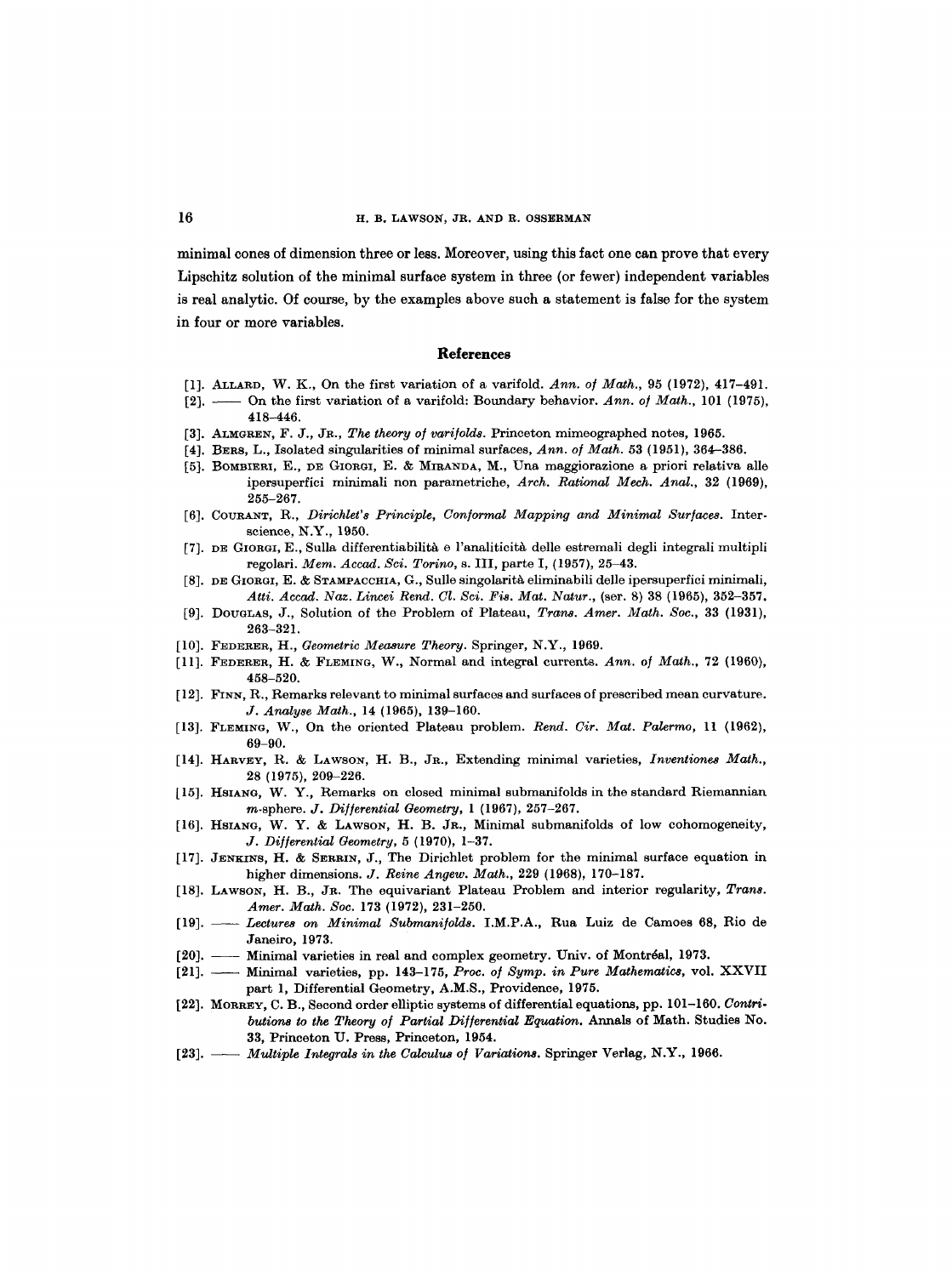minimal cones of dimension three or less. Moreover, using this fact one can prove that every Lipschitz solution of the minimal surface system in three (or fewer) independent variables is real analytic. Of course, by the examples above such a statement is false for the system in four or more variables.

#### **References**

- [1]. ALLARD, W. K., On the first variation of a varifold. *Ann. o] Math.,* 95 (1972), 417-491.
- [2]. -- On the first variation of a varifold: Boundary behavior. Ann. of Math., 101 (1975), 418-446.
- [3]. ALMGREN, F. J., JR., *The theory of varifolds*. Princeton mimeographed notes, 1965.
- [4]. BERS, L., Isolated singularities of minimal surfaces, *Ann. o/Math.* 53 (1951), 364-386.
- [5]. BOMBIERI, E., DE GIORGI, E. & MIRANDA, M., Una maggiorazione a priori relativa alle ipersuperfici minimali non parametriche, *Arch. Rational Mech. Anal.,* 32 (1969), 255-267.
- [6]. COURANT, R., *Dirichlet's Principle, Con/ormal Mapping and Minimal Sur/aces.* Interscience, N.Y., 1950.
- [7]. DE GIORGI, E., Sulla differentiabilitk e l'analiticitk delle estremali degli integrali multipli regolari. *Mem. Accad. Sci. Torino,* s. III, parte I, {1957), 25-43.
- [8]. DE GIORGI, E. & STAMPACCHIA, G., Sulle singolarità eliminabili delle ipersuperfici minimali, *Atti. Aecad. Naz. Lincei Rend. Cl. Sci. Fis. Mat. Natur.,* (ser. 8) 38 (1965), 352-357.
- [9]. DOUGLAS, J., Solution of the Problem of Plateau, *Trans. Amer. Math. Soc.,* 33 (1931), 263-321.
- [10]. FEDERER, H., *Geometric Measure Theory.* Springer, N.Y., 1969.
- [11]. FEDERER, H. & FLEMING, W., Normal and integral currents. *Ann. of Math.,* 72 (1960), 458-520.
- [12]. FINN, R., Remarks relevant to minimal surfaces and surfaces of prescribed mean curvature. *J. Analyse Math.,* 14 (1965), 139-160.
- [13]. FLEMING, W., On the oriented Plateau problem. *Rend. Cir. Mat. Palermo,* 11 (1962), 69-90.
- [14]. HARVEY, R. & LAWSON, H. B., JR., Extending minimal varieties, *Inventiones Math.,*  28 (1975), 209-226.
- [15]. HSIANG, W. Y., Remarks on closed minimal submanifolds in the standard Riemannian m-sphere. *J. Differential Geometry*, 1 (1967), 257-267.
- [16]. HSIANG, W. Y. & LAWSON, H. B. JR., Minimal submanifolds of low cohomogeneity, *J. Di]]erential Geometry,* 5 (1970), 1-37.
- [17]. JENKINS, H. & SERRIN, J., The Dirichlet problem for the minimal surface equation in higher dimensions. *J. Reine Angew. Math.,* 229 (1968), 170-187.
- [18]. LAWSON, H. B., JR. The equivariant Plateau Problem and interior regularity, *Trans. Amer. Math. Soc.* 173 (1972), 231-250.
- [19]. *Lectures on Minimal Submanifolds.* I.M.P.A., Rua Luiz de Camoes 68, Rio de Janeiro, 1973.
- [20]. Minimal varieties in real and complex geometry. Univ. of Montréal, 1973.
- [21]. Minimal varieties, pp. 143-175, *Proc. of Symp. in Pure Mathematics*, vol. XXVII part 1, Differential Geometry, A.M.S., Providence, 1975.
- [22]. MORREY, C. B., Second order elliptic systems of differential equations, pp. 101-160. *Contri. butions to the Theory of Partial Differential Equation.* Annals of Math. Studies No. 33, Princeton U. Press, Princeton, 1954.
- [23]. -- *Multiple Integrals in the Calculus of Variations.* Springer Verlag, N.Y., 1966.